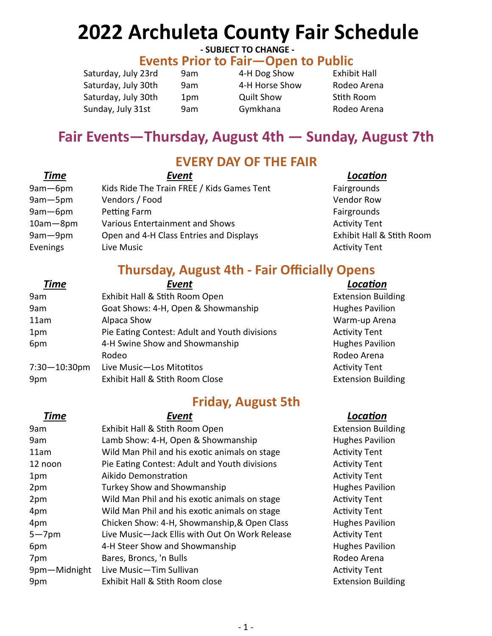# 2022 Archuleta County Fair Schedule

### - SUBJECT TO CHANGE -

### Events Prior to Fair—Open to Public

| Saturday, July 23rd |  |
|---------------------|--|
| Saturday, July 30th |  |
| Saturday, July 30th |  |
| Sunday, July 31st   |  |

9am 4-H Dog Show Exhibit Hall 1pm Quilt Show Stith Room

# 9am 34-H Horse Show Rodeo Arena 9am Gymkhana Rodeo Arena

# Fair Events—Thursday, August 4th — Sunday, August 7th

### EVERY DAY OF THE FAIR

| <b>Time</b>  | Event                                      | Location             |
|--------------|--------------------------------------------|----------------------|
| $9am - 6pm$  | Kids Ride The Train FREE / Kids Games Tent | Fairgrounds          |
| 9am-5pm      | Vendors / Food                             | <b>Vendor Row</b>    |
| $9am - 6pm$  | Petting Farm                               | Fairgrounds          |
| $10am - 8pm$ | <b>Various Entertainment and Shows</b>     | <b>Activity Tent</b> |
| 9am-9pm      | Open and 4-H Class Entries and Displays    | Exhibit Hall &       |
| Evenings     | Live Music                                 | <b>Activity Tent</b> |

Fairgrounds Activity Tent Exhibit Hall & Stith Room **Activity Tent** 

## Thursday, August 4th - Fair Officially Opens

| Event                                         | Location              |
|-----------------------------------------------|-----------------------|
| Exhibit Hall & Stith Room Open                | <b>Extension Buil</b> |
| Goat Shows: 4-H, Open & Showmanship           | <b>Hughes Pavilio</b> |
| Alpaca Show                                   | Warm-up Are           |
| Pie Eating Contest: Adult and Youth divisions | <b>Activity Tent</b>  |
| 4-H Swine Show and Showmanship                | <b>Hughes Pavilio</b> |
| Rodeo                                         | Rodeo Arena           |
| Live Music-Los Mitotitos                      | <b>Activity Tent</b>  |
| Exhibit Hall & Stith Room Close               | <b>Extension Buil</b> |
|                                               |                       |

## Friday, August 5th

| <b>Time</b>  | Event                                          | Location              |
|--------------|------------------------------------------------|-----------------------|
| 9am          | Exhibit Hall & Stith Room Open                 | <b>Extension Buil</b> |
| 9am          | Lamb Show: 4-H, Open & Showmanship             | <b>Hughes Pavilio</b> |
| 11am         | Wild Man Phil and his exotic animals on stage  | <b>Activity Tent</b>  |
| 12 noon      | Pie Eating Contest: Adult and Youth divisions  | <b>Activity Tent</b>  |
| 1pm          | Aikido Demonstration                           | <b>Activity Tent</b>  |
| 2pm          | Turkey Show and Showmanship                    | <b>Hughes Pavilio</b> |
| 2pm          | Wild Man Phil and his exotic animals on stage  | <b>Activity Tent</b>  |
| 4pm          | Wild Man Phil and his exotic animals on stage  | <b>Activity Tent</b>  |
| 4pm          | Chicken Show: 4-H, Showmanship, & Open Class   | <b>Hughes Pavilio</b> |
| $5 - 7$ pm   | Live Music-Jack Ellis with Out On Work Release | <b>Activity Tent</b>  |
| 6pm          | 4-H Steer Show and Showmanship                 | <b>Hughes Pavilio</b> |
| 7pm          | Bares, Broncs, 'n Bulls                        | Rodeo Arena           |
| 9pm-Midnight | Live Music-Tim Sullivan                        | <b>Activity Tent</b>  |
| 9pm          | Exhibit Hall & Stith Room close                | <b>Extension Buil</b> |

**Extension Building** Hughes Pavilion Warm-up Arena Activity Tent Hughes Pavilion Rodeo Rodeo Arena Activity Tent **Extension Building** 

**Extension Building** Hughes Pavilion Activity Tent Activity Tent Activity Tent Hughes Pavilion Activity Tent Activity Tent Hughes Pavilion Activity Tent Hughes Pavilion Rodeo Arena Activity Tent **Extension Building**